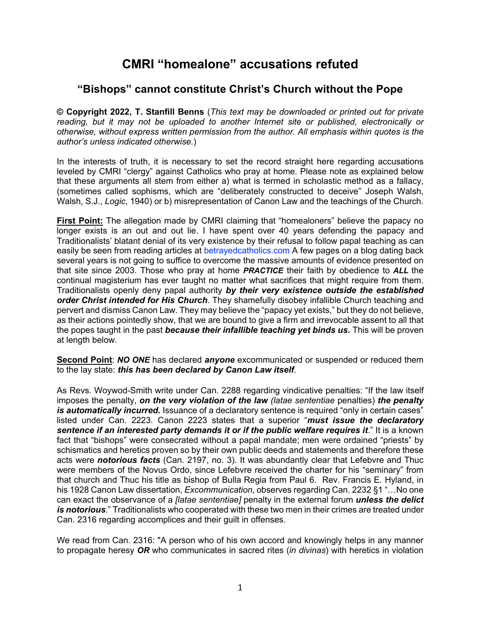# **CMRI "homealone" accusations refuted**

## **"Bishops" cannot constitute Christ's Church without the Pope**

**© Copyright 2022, T. Stanfill Benns** (*This text may be downloaded or printed out for private reading, but it may not be uploaded to another Internet site or published, electronically or otherwise, without express written permission from the author. All emphasis within quotes is the author's unless indicated otherwise.*)

In the interests of truth, it is necessary to set the record straight here regarding accusations leveled by CMRI "clergy" against Catholics who pray at home. Please note as explained below that these arguments all stem from either a) what is termed in scholastic method as a fallacy, (sometimes called sophisms, which are "deliberately constructed to deceive" Joseph Walsh, Walsh, S.J., *Logic*, 1940) or b) misrepresentation of Canon Law and the teachings of the Church.

**First Point:** The allegation made by CMRI claiming that "homealoners" believe the papacy no longer exists is an out and out lie. I have spent over 40 years defending the papacy and Traditionalists' blatant denial of its very existence by their refusal to follow papal teaching as can easily be seen from reading articles at betrayedcatholics.com A few pages on a blog dating back several years is not going to suffice to overcome the massive amounts of evidence presented on that site since 2003. Those who pray at home *PRACTICE* their faith by obedience to *ALL* the continual magisterium has ever taught no matter what sacrifices that might require from them. Traditionalists openly deny papal authority *by their very existence outside the established order Christ intended for His Church*. They shamefully disobey infallible Church teaching and pervert and dismiss Canon Law. They may believe the "papacy yet exists," but they do not believe, as their actions pointedly show, that we are bound to give a firm and irrevocable assent to all that the popes taught in the past *because their infallible teaching yet binds us.* This will be proven at length below.

**Second Point**: *NO ONE* has declared *anyone* excommunicated or suspended or reduced them to the lay state: *this has been declared by Canon Law itself*.

As Revs. Woywod-Smith write under Can. 2288 regarding vindicative penalties: "If the law itself imposes the penalty, *on the very violation of the law (latae sententiae* penalties) *the penalty is automatically incurred.* Issuance of a declaratory sentence is required "only in certain cases" listed under Can. 2223. Canon 2223 states that a superior "*must issue the declaratory*  **sentence if an interested party demands it or if the public welfare requires it."** It is a known fact that "bishops" were consecrated without a papal mandate; men were ordained "priests" by schismatics and heretics proven so by their own public deeds and statements and therefore these acts were *notorious facts* (Can. 2197, no. 3). It was abundantly clear that Lefebvre and Thuc were members of the Novus Ordo, since Lefebvre received the charter for his "seminary" from that church and Thuc his title as bishop of Bulla Regia from Paul 6. Rev. Francis E. Hyland, in his 1928 Canon Law dissertation, *Excommunication*, observes regarding Can. 2232 §1 "…No one can exact the observance of a *[latae sententiae]* penalty in the external forum *unless the delict is notorious*." Traditionalists who cooperated with these two men in their crimes are treated under Can. 2316 regarding accomplices and their guilt in offenses.

We read from Can. 2316: "A person who of his own accord and knowingly helps in any manner to propagate heresy *OR* who communicates in sacred rites (*in divinas*) with heretics in violation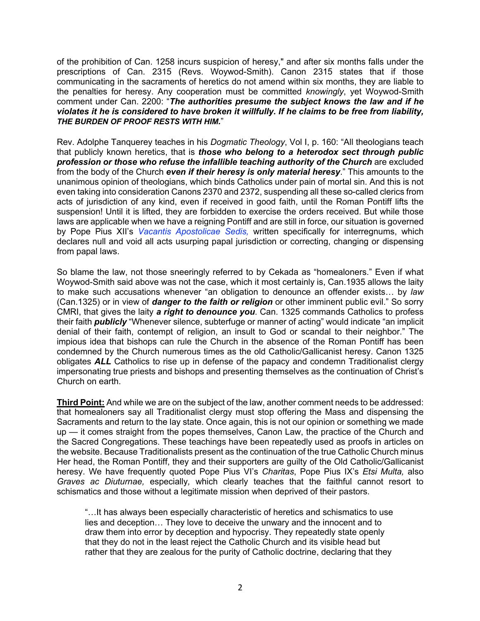of the prohibition of Can. 1258 incurs suspicion of heresy," and after six months falls under the prescriptions of Can. 2315 (Revs. Woywod-Smith). Canon 2315 states that if those communicating in the sacraments of heretics do not amend within six months, they are liable to the penalties for heresy. Any cooperation must be committed *knowingly*, yet Woywod-Smith comment under Can. 2200: "*The authorities presume the subject knows the law and if he violates it he is considered to have broken it willfully. If he claims to be free from liability, THE BURDEN OF PROOF RESTS WITH HIM.*"

Rev. Adolphe Tanquerey teaches in his *Dogmatic Theology*, Vol I, p. 160: "All theologians teach that publicly known heretics, that is *those who belong to a heterodox sect through public profession or those who refuse the infallible teaching authority of the Church* are excluded from the body of the Church *even if their heresy is only material heresy*." This amounts to the unanimous opinion of theologians, which binds Catholics under pain of mortal sin. And this is not even taking into consideration Canons 2370 and 2372, suspending all these so-called clerics from acts of jurisdiction of any kind, even if received in good faith, until the Roman Pontiff lifts the suspension! Until it is lifted, they are forbidden to exercise the orders received. But while those laws are applicable when we have a reigning Pontiff and are still in force, our situation is governed by Pope Pius XII's *Vacantis Apostolicae Sedis,* written specifically for interregnums, which declares null and void all acts usurping papal jurisdiction or correcting, changing or dispensing from papal laws.

So blame the law, not those sneeringly referred to by Cekada as "homealoners." Even if what Woywod-Smith said above was not the case, which it most certainly is, Can.1935 allows the laity to make such accusations whenever "an obligation to denounce an offender exists… by *law* (Can.1325) or in view of *danger to the faith or religion* or other imminent public evil." So sorry CMRI, that gives the laity *a right to denounce you*. Can. 1325 commands Catholics to profess their faith *publicly* "Whenever silence, subterfuge or manner of acting" would indicate "an implicit denial of their faith, contempt of religion, an insult to God or scandal to their neighbor." The impious idea that bishops can rule the Church in the absence of the Roman Pontiff has been condemned by the Church numerous times as the old Catholic/Gallicanist heresy. Canon 1325 obligates *ALL* Catholics to rise up in defense of the papacy and condemn Traditionalist clergy impersonating true priests and bishops and presenting themselves as the continuation of Christ's Church on earth.

**Third Point:** And while we are on the subject of the law, another comment needs to be addressed: that homealoners say all Traditionalist clergy must stop offering the Mass and dispensing the Sacraments and return to the lay state. Once again, this is not our opinion or something we made up — it comes straight from the popes themselves, Canon Law, the practice of the Church and the Sacred Congregations. These teachings have been repeatedly used as proofs in articles on the website. Because Traditionalists present as the continuation of the true Catholic Church minus Her head, the Roman Pontiff, they and their supporters are guilty of the Old Catholic/Gallicanist heresy. We have frequently quoted Pope Pius VI's *Charitas*, Pope Pius IX's *Etsi Multa,* also *Graves ac Diuturnae,* especially*,* which clearly teaches that the faithful cannot resort to schismatics and those without a legitimate mission when deprived of their pastors.

"…It has always been especially characteristic of heretics and schismatics to use lies and deception… They love to deceive the unwary and the innocent and to draw them into error by deception and hypocrisy. They repeatedly state openly that they do not in the least reject the Catholic Church and its visible head but rather that they are zealous for the purity of Catholic doctrine, declaring that they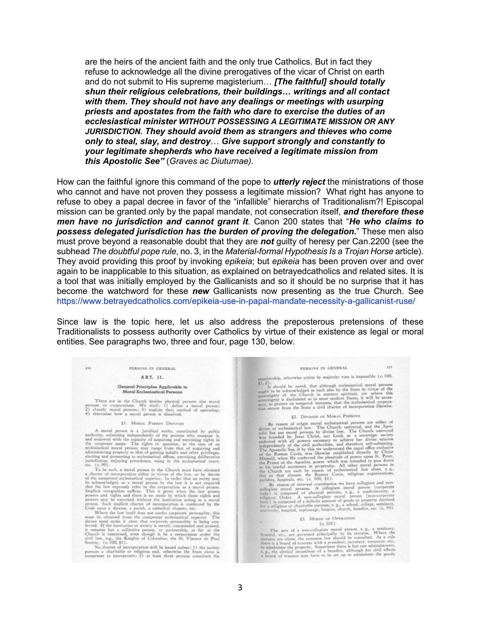are the heirs of the ancient faith and the only true Catholics. But in fact they refuse to acknowledge all the divine prerogatives of the vicar of Christ on earth and do not submit to His supreme magisterium… *[The faithful] should totally shun their religious celebrations, their buildings… writings and all contact with them. They should not have any dealings or meetings with usurping priests and apostates from the faith who dare to exercise the duties of an ecclesiastical minister WITHOUT POSSESSING A LEGITIMATE MISSION OR ANY JURISDICTION. They should avoid them as strangers and thieves who come only to steal, slay, and destroy*… *Give support strongly and constantly to your legitimate shepherds who have received a legitimate mission from this Apostolic See"* (*Graves ac Diuturnae).*

How can the faithful ignore this command of the pope to *utterly reject* the ministrations of those who cannot and have not proven they possess a legitimate mission? What right has anyone to refuse to obey a papal decree in favor of the "infallible" hierarchs of Traditionalism?! Episcopal mission can be granted only by the papal mandate, not consecration itself, *and therefore these men have no jurisdiction and cannot grant it*. Canon 200 states that "*He who claims to possess delegated jurisdiction has the burden of proving the delegation.*" These men also must prove beyond a reasonable doubt that they are *not* guilty of heresy per Can.2200 (see the subhead *The doubtful pope rule*, no. 3, in the *Material-formal Hypothesis Is a Trojan Horse* article). They avoid providing this proof by invoking *epikeia*; but *epikeia* has been proven over and over again to be inapplicable to this situation, as explained on betrayedcatholics and related sites. It is a tool that was initially employed by the Gallicanists and so it should be no surprise that it has become the watchword for these *new* Gallicanists now presenting as the true Church. See https://www.betrayedcatholics.com/epikeia-use-in-papal-mandate-necessity-a-gallicanist-ruse/

Since law is the topic here, let us also address the preposterous pretensions of these Traditionalists to possess authority over Catholics by virtue of their existence as legal or moral entities. See paragraphs two, three and four, page 130, below.

#### PERSONS IN GENERAL

130

#### ART. II.

### General Principles Applicable to Moral Ecclesiastical Persons

There are in the Church besides physical persons also moral<br>persons or corporations. We shall: 1) define a moral person;<br> $Z$ ) classify moral persons; 3) explain their method of operating;<br> $4$ ) determine how a moral person

### \$1. MORAL PERSON DEPINIES

 $\label{eq:3}$  <br> A moral person is a juridical entity, constituted by public authority, whisting independently of the persons who compose it, and endowed with the capacity of a<br>counting and exercising raphs in the corporate ra

be acknowledged as a moral person. In our tour dust the law is a correlative that the law expectation as a moral person by the law it is not required that the law increases prevers an error person is a moral person below

### PERSONS IN GENERAL

131

rship, otherwise action by majority vote is impossible (c. 100,

should be noted, that although ecclesiastical moral pers It should be noted, that also by the State in virtue of the<br>specifierty of the chromeloged as such also by the State in virtue of the<br>specificaty of the Church in matters spiritual, yet where this<br>specification is a in mos

## §2. DIVISION OF MORAL PERSONS

 $$\sf 42$ . Divisions or Mon.u. Pitkions are either of direct and the process are either of divine or ecclesiatical law. The Church universal, and the Apostolic See are moral persons by divine law. The Church universal was d

### §3. MODES OF OPERATION  $(c. 101)$

The acts of a son-collegiate moral person, e.g., a seminary,<br>hospital, etc., are governed principally by its statutes. Where the<br>statutes are silent to common law should be consulted. As a rule<br>three is a board of trustee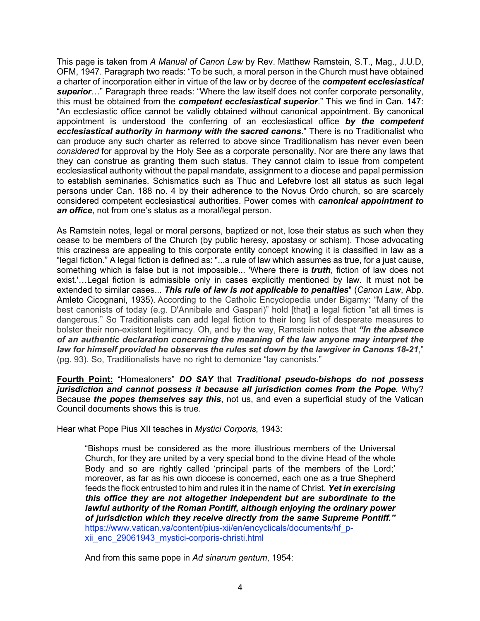This page is taken from *A Manual of Canon Law* by Rev. Matthew Ramstein, S.T., Mag., J.U.D, OFM, 1947. Paragraph two reads: "To be such, a moral person in the Church must have obtained a charter of incorporation either in virtue of the law or by decree of the *competent ecclesiastical superior*…" Paragraph three reads: "Where the law itself does not confer corporate personality, this must be obtained from the *competent ecclesiastical superior*." This we find in Can. 147: "An ecclesiastic office cannot be validly obtained without canonical appointment. By canonical appointment is understood the conferring of an ecclesiastical office *by the competent ecclesiastical authority in harmony with the sacred canons*." There is no Traditionalist who can produce any such charter as referred to above since Traditionalism has never even been *considered* for approval by the Holy See as a corporate personality. Nor are there any laws that they can construe as granting them such status. They cannot claim to issue from competent ecclesiastical authority without the papal mandate, assignment to a diocese and papal permission to establish seminaries. Schismatics such as Thuc and Lefebvre lost all status as such legal persons under Can. 188 no. 4 by their adherence to the Novus Ordo church, so are scarcely considered competent ecclesiastical authorities. Power comes with *canonical appointment to an office*, not from one's status as a moral/legal person.

As Ramstein notes, legal or moral persons, baptized or not, lose their status as such when they cease to be members of the Church (by public heresy, apostasy or schism). Those advocating this craziness are appealing to this corporate entity concept knowing it is classified in law as a "legal fiction." A legal fiction is defined as: "...a rule of law which assumes as true, for a just cause, something which is false but is not impossible... 'Where there is *truth*, fiction of law does not exist.'…Legal fiction is admissible only in cases explicitly mentioned by law. It must not be extended to similar cases... *This rule of law is not applicable to penalties*" (*Canon Law*, Abp. Amleto Cicognani, 1935). According to the Catholic Encyclopedia under Bigamy: "Many of the best canonists of today (e.g. D'Annibale and Gaspari)" hold [that] a legal fiction "at all times is dangerous." So Traditionalists can add legal fiction to their long list of desperate measures to bolster their non-existent legitimacy. Oh, and by the way, Ramstein notes that *"In the absence of an authentic declaration concerning the meaning of the law anyone may interpret the law for himself provided he observes the rules set down by the lawgiver in Canons 18-21*," (pg. 93). So, Traditionalists have no right to demonize "lay canonists."

**Fourth Point:** "Homealoners" *DO SAY* that *Traditional pseudo-bishops do not possess jurisdiction and cannot possess it because all jurisdiction comes from the Pope.* Why? Because *the popes themselves say this*, not us, and even a superficial study of the Vatican Council documents shows this is true.

Hear what Pope Pius XII teaches in *Mystici Corporis,* 1943:

"Bishops must be considered as the more illustrious members of the Universal Church, for they are united by a very special bond to the divine Head of the whole Body and so are rightly called 'principal parts of the members of the Lord;' moreover, as far as his own diocese is concerned, each one as a true Shepherd feeds the flock entrusted to him and rules it in the name of Christ. *Yet in exercising this office they are not altogether independent but are subordinate to the lawful authority of the Roman Pontiff, although enjoying the ordinary power of jurisdiction which they receive directly from the same Supreme Pontiff."* https://www.vatican.va/content/pius-xii/en/encyclicals/documents/hf\_pxii\_enc\_29061943\_mystici-corporis-christi.html

And from this same pope in *Ad sinarum gentum*, 1954: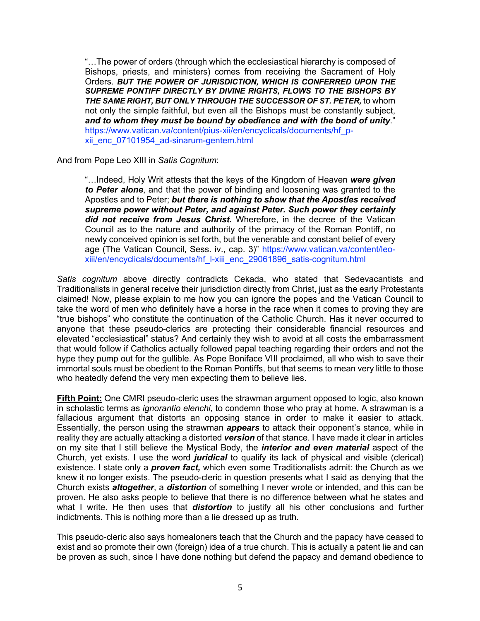"…The power of orders (through which the ecclesiastical hierarchy is composed of Bishops, priests, and ministers) comes from receiving the Sacrament of Holy Orders. *BUT THE POWER OF JURISDICTION, WHICH IS CONFERRED UPON THE SUPREME PONTIFF DIRECTLY BY DIVINE RIGHTS, FLOWS TO THE BISHOPS BY THE SAME RIGHT, BUT ONLY THROUGH THE SUCCESSOR OF ST. PETER,* to whom not only the simple faithful, but even all the Bishops must be constantly subject, *and to whom they must be bound by obedience and with the bond of unity*." https://www.vatican.va/content/pius-xii/en/encyclicals/documents/hf\_pxii\_enc\_07101954\_ad-sinarum-gentem.html

And from Pope Leo XIII in *Satis Cognitum*:

"…Indeed, Holy Writ attests that the keys of the Kingdom of Heaven *were given to Peter alone*, and that the power of binding and loosening was granted to the Apostles and to Peter; *but there is nothing to show that the Apostles received supreme power without Peter, and against Peter. Such power they certainly did not receive from Jesus Christ.* Wherefore, in the decree of the Vatican Council as to the nature and authority of the primacy of the Roman Pontiff, no newly conceived opinion is set forth, but the venerable and constant belief of every age (The Vatican Council, Sess. iv., cap. 3)" https://www.vatican.va/content/leoxiii/en/encyclicals/documents/hf\_l-xiii\_enc\_29061896\_satis-cognitum.html

*Satis cognitum* above directly contradicts Cekada, who stated that Sedevacantists and Traditionalists in general receive their jurisdiction directly from Christ, just as the early Protestants claimed! Now, please explain to me how you can ignore the popes and the Vatican Council to take the word of men who definitely have a horse in the race when it comes to proving they are "true bishops" who constitute the continuation of the Catholic Church. Has it never occurred to anyone that these pseudo-clerics are protecting their considerable financial resources and elevated "ecclesiastical" status? And certainly they wish to avoid at all costs the embarrassment that would follow if Catholics actually followed papal teaching regarding their orders and not the hype they pump out for the gullible. As Pope Boniface VIII proclaimed, all who wish to save their immortal souls must be obedient to the Roman Pontiffs, but that seems to mean very little to those who heatedly defend the very men expecting them to believe lies.

**Fifth Point:** One CMRI pseudo-cleric uses the strawman argument opposed to logic, also known in scholastic terms as *ignorantio elenchi,* to condemn those who pray at home. A strawman is a fallacious argument that distorts an opposing stance in order to make it easier to attack. Essentially, the person using the strawman *appears* to attack their opponent's stance, while in reality they are actually attacking a distorted *version* of that stance. I have made it clear in articles on my site that I still believe the Mystical Body, the *interior and even material* aspect of the Church, yet exists. I use the word *juridical* to qualify its lack of physical and visible (clerical) existence. I state only a *proven fact,* which even some Traditionalists admit: the Church as we knew it no longer exists. The pseudo-cleric in question presents what I said as denying that the Church exists *altogether*, a *distortion* of something I never wrote or intended, and this can be proven. He also asks people to believe that there is no difference between what he states and what I write. He then uses that *distortion* to justify all his other conclusions and further indictments. This is nothing more than a lie dressed up as truth.

This pseudo-cleric also says homealoners teach that the Church and the papacy have ceased to exist and so promote their own (foreign) idea of a true church. This is actually a patent lie and can be proven as such, since I have done nothing but defend the papacy and demand obedience to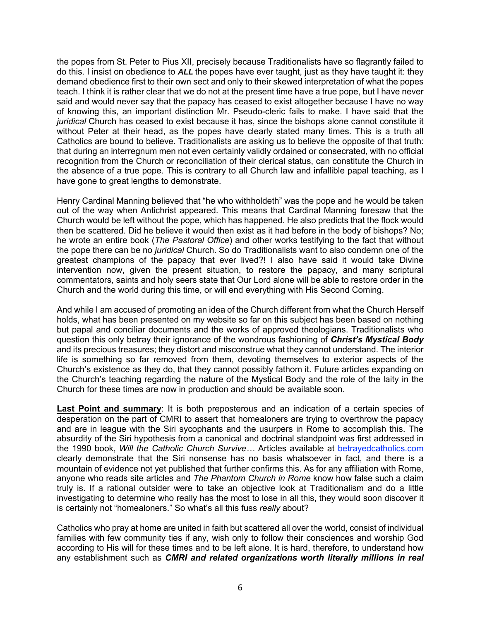the popes from St. Peter to Pius XII, precisely because Traditionalists have so flagrantly failed to do this. I insist on obedience to *ALL* the popes have ever taught, just as they have taught it: they demand obedience first to their own sect and only to their skewed interpretation of what the popes teach. I think it is rather clear that we do not at the present time have a true pope, but I have never said and would never say that the papacy has ceased to exist altogether because I have no way of knowing this, an important distinction Mr. Pseudo-cleric fails to make. I have said that the *juridical* Church has ceased to exist because it has, since the bishops alone cannot constitute it without Peter at their head, as the popes have clearly stated many times. This is a truth all Catholics are bound to believe. Traditionalists are asking us to believe the opposite of that truth: that during an interregnum men not even certainly validly ordained or consecrated, with no official recognition from the Church or reconciliation of their clerical status, can constitute the Church in the absence of a true pope. This is contrary to all Church law and infallible papal teaching, as I have gone to great lengths to demonstrate.

Henry Cardinal Manning believed that "he who withholdeth" was the pope and he would be taken out of the way when Antichrist appeared. This means that Cardinal Manning foresaw that the Church would be left without the pope, which has happened. He also predicts that the flock would then be scattered. Did he believe it would then exist as it had before in the body of bishops? No; he wrote an entire book (*The Pastoral Office*) and other works testifying to the fact that without the pope there can be no *juridical* Church. So do Traditionalists want to also condemn one of the greatest champions of the papacy that ever lived?! I also have said it would take Divine intervention now, given the present situation, to restore the papacy, and many scriptural commentators, saints and holy seers state that Our Lord alone will be able to restore order in the Church and the world during this time, or will end everything with His Second Coming.

And while I am accused of promoting an idea of the Church different from what the Church Herself holds, what has been presented on my website so far on this subject has been based on nothing but papal and conciliar documents and the works of approved theologians. Traditionalists who question this only betray their ignorance of the wondrous fashioning of *Christ's Mystical Body* and its precious treasures; they distort and misconstrue what they cannot understand. The interior life is something so far removed from them, devoting themselves to exterior aspects of the Church's existence as they do, that they cannot possibly fathom it. Future articles expanding on the Church's teaching regarding the nature of the Mystical Body and the role of the laity in the Church for these times are now in production and should be available soon.

**Last Point and summary**: It is both preposterous and an indication of a certain species of desperation on the part of CMRI to assert that homealoners are trying to overthrow the papacy and are in league with the Siri sycophants and the usurpers in Rome to accomplish this. The absurdity of the Siri hypothesis from a canonical and doctrinal standpoint was first addressed in the 1990 book, *Will the Catholic Church Survive…* Articles available at betrayedcatholics.com clearly demonstrate that the Siri nonsense has no basis whatsoever in fact, and there is a mountain of evidence not yet published that further confirms this. As for any affiliation with Rome, anyone who reads site articles and *The Phantom Church in Rome* know how false such a claim truly is. If a rational outsider were to take an objective look at Traditionalism and do a little investigating to determine who really has the most to lose in all this, they would soon discover it is certainly not "homealoners." So what's all this fuss *really* about?

Catholics who pray at home are united in faith but scattered all over the world, consist of individual families with few community ties if any, wish only to follow their consciences and worship God according to His will for these times and to be left alone. It is hard, therefore, to understand how any establishment such as *CMRI and related organizations worth literally millions in real*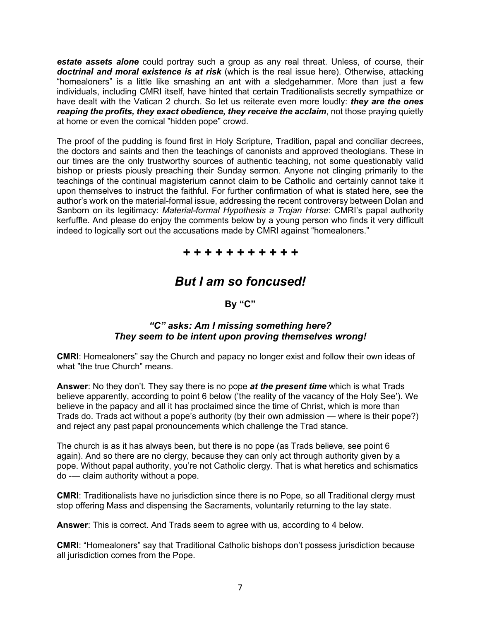*estate assets alone* could portray such a group as any real threat. Unless, of course, their *doctrinal and moral existence is at risk* (which is the real issue here). Otherwise, attacking "homealoners" is a little like smashing an ant with a sledgehammer. More than just a few individuals, including CMRI itself, have hinted that certain Traditionalists secretly sympathize or have dealt with the Vatican 2 church. So let us reiterate even more loudly: *they are the ones reaping the profits, they exact obedience, they receive the acclaim*, not those praying quietly at home or even the comical "hidden pope" crowd.

The proof of the pudding is found first in Holy Scripture, Tradition, papal and conciliar decrees, the doctors and saints and then the teachings of canonists and approved theologians. These in our times are the only trustworthy sources of authentic teaching, not some questionably valid bishop or priests piously preaching their Sunday sermon. Anyone not clinging primarily to the teachings of the continual magisterium cannot claim to be Catholic and certainly cannot take it upon themselves to instruct the faithful. For further confirmation of what is stated here, see the author's work on the material-formal issue, addressing the recent controversy between Dolan and Sanborn on its legitimacy: *Material-formal Hypothesis a Trojan Horse*: CMRI's papal authority kerfuffle. And please do enjoy the comments below by a young person who finds it very difficult indeed to logically sort out the accusations made by CMRI against "homealoners."

## *+ + + + + + + + + + +*

# *But I am so foncused!*

**By "C"**

## *"C" asks: Am I missing something here? They seem to be intent upon proving themselves wrong!*

**CMRI**: Homealoners" say the Church and papacy no longer exist and follow their own ideas of what "the true Church" means.

**Answer**: No they don't. They say there is no pope *at the present time* which is what Trads believe apparently, according to point 6 below ('the reality of the vacancy of the Holy See'). We believe in the papacy and all it has proclaimed since the time of Christ, which is more than Trads do. Trads act without a pope's authority (by their own admission — where is their pope?) and reject any past papal pronouncements which challenge the Trad stance.

The church is as it has always been, but there is no pope (as Trads believe, see point 6 again). And so there are no clergy, because they can only act through authority given by a pope. Without papal authority, you're not Catholic clergy. That is what heretics and schismatics do -— claim authority without a pope.

**CMRI**: Traditionalists have no jurisdiction since there is no Pope, so all Traditional clergy must stop offering Mass and dispensing the Sacraments, voluntarily returning to the lay state.

**Answer**: This is correct. And Trads seem to agree with us, according to 4 below.

**CMRI**: "Homealoners" say that Traditional Catholic bishops don't possess jurisdiction because all jurisdiction comes from the Pope.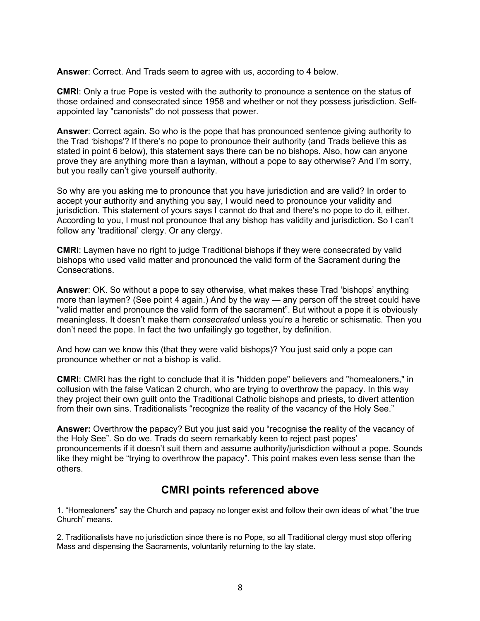**Answer**: Correct. And Trads seem to agree with us, according to 4 below.

**CMRI**: Only a true Pope is vested with the authority to pronounce a sentence on the status of those ordained and consecrated since 1958 and whether or not they possess jurisdiction. Selfappointed lay "canonists" do not possess that power.

**Answer**: Correct again. So who is the pope that has pronounced sentence giving authority to the Trad 'bishops'? If there's no pope to pronounce their authority (and Trads believe this as stated in point 6 below), this statement says there can be no bishops. Also, how can anyone prove they are anything more than a layman, without a pope to say otherwise? And I'm sorry, but you really can't give yourself authority.

So why are you asking me to pronounce that you have jurisdiction and are valid? In order to accept your authority and anything you say, I would need to pronounce your validity and jurisdiction. This statement of yours says I cannot do that and there's no pope to do it, either. According to you, I must not pronounce that any bishop has validity and jurisdiction. So I can't follow any 'traditional' clergy. Or any clergy.

**CMRI**: Laymen have no right to judge Traditional bishops if they were consecrated by valid bishops who used valid matter and pronounced the valid form of the Sacrament during the Consecrations.

**Answer**: OK. So without a pope to say otherwise, what makes these Trad 'bishops' anything more than laymen? (See point 4 again.) And by the way — any person off the street could have "valid matter and pronounce the valid form of the sacrament". But without a pope it is obviously meaningless. It doesn't make them *consecrated* unless you're a heretic or schismatic. Then you don't need the pope. In fact the two unfailingly go together, by definition.

And how can we know this (that they were valid bishops)? You just said only a pope can pronounce whether or not a bishop is valid.

**CMRI**: CMRI has the right to conclude that it is "hidden pope" believers and "homealoners," in collusion with the false Vatican 2 church, who are trying to overthrow the papacy. In this way they project their own guilt onto the Traditional Catholic bishops and priests, to divert attention from their own sins. Traditionalists "recognize the reality of the vacancy of the Holy See."

**Answer:** Overthrow the papacy? But you just said you "recognise the reality of the vacancy of the Holy See". So do we. Trads do seem remarkably keen to reject past popes' pronouncements if it doesn't suit them and assume authority/jurisdiction without a pope. Sounds like they might be "trying to overthrow the papacy". This point makes even less sense than the others.

## **CMRI points referenced above**

1. "Homealoners" say the Church and papacy no longer exist and follow their own ideas of what "the true Church" means.

2. Traditionalists have no jurisdiction since there is no Pope, so all Traditional clergy must stop offering Mass and dispensing the Sacraments, voluntarily returning to the lay state.